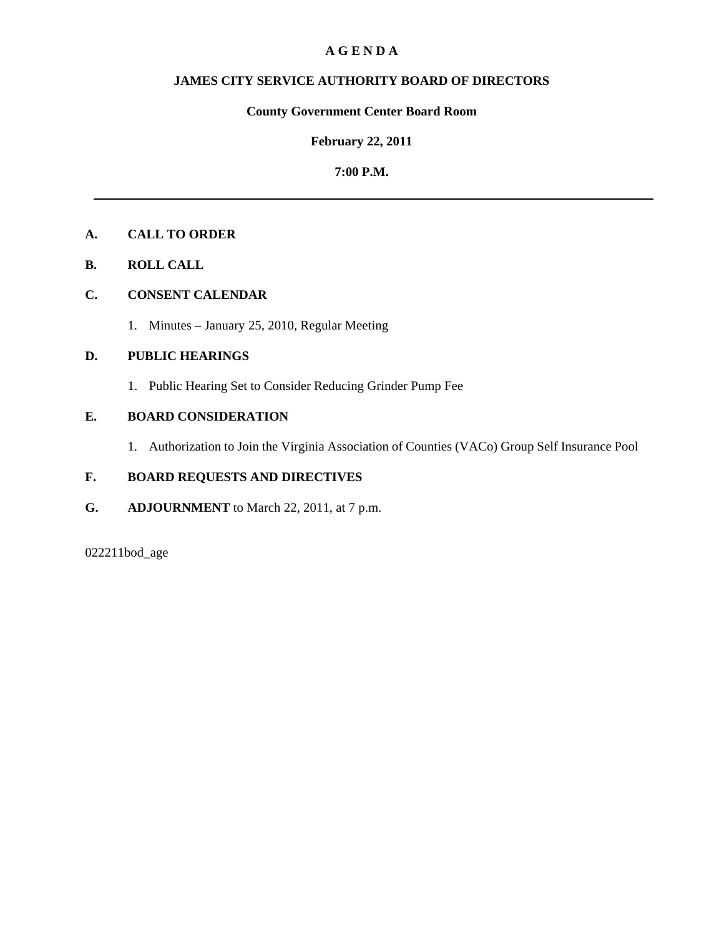#### **A G E N D A**

## **JAMES CITY SERVICE AUTHORITY BOARD OF DIRECTORS**

## **County Government Center Board Room**

#### **February 22, 2011**

#### **7:00 P.M.**

## **A. CALL TO ORDER**

**B. ROLL CALL** 

## **C. CONSENT CALENDAR**

1. Minutes – January 25, 2010, Regular Meeting

## **D. PUBLIC HEARINGS**

1. Public Hearing Set to Consider Reducing Grinder Pump Fee

## **E. BOARD CONSIDERATION**

1. Authorization to Join the Virginia Association of Counties (VACo) Group Self Insurance Pool

## **F. BOARD REQUESTS AND DIRECTIVES**

**G. ADJOURNMENT** to March 22, 2011, at 7 p.m.

022211bod\_age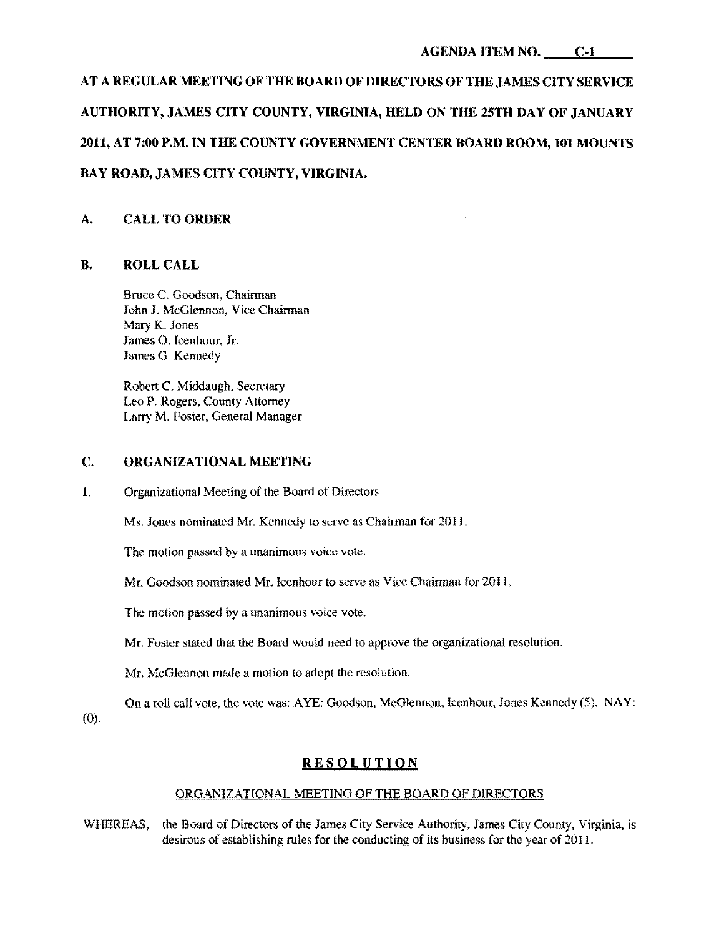# AT A REGULAR MEETING OF THE BOARD OF DIRECTORS OF THE JAMES CITY SERVICE AUTHORITY, JAMES CITY COUNTY, VIRGINIA, HELD ON THE 25TH DAY OF JANUARY 2011, AT 7:00 P.M. IN THE COUNTY GOVERNMENT CENTER BOARD ROOM, 101 MOUNTS BAY ROAD, JAMES CITY COUNTY, VIRGINIA.

# A. CALL TO ORDER

## B. ROLL CALL

Bruce C. Goodson, Chairman John J. McGlennon. Vice Chairman Mary K. Jones James O. Icenhour. Jr. James G. Kennedy

Robert C. Middaugh. Secretary Leo P. Rogers, County Attorney Larry M. Foster. General Manager

## C. ORGANIZATIONAL MEETING

1. Organizational Meeting of the Board of Directors

Ms. Jones nominated Mr. Kennedy to serve as Chairman for 2011.

The motion passed by a unanimous voice vote.

Mr. Goodson nominated Mr. Icenhour to serve as Vice Chairman for 2011.

The motion passed by a unanimous voice vote.

Mr. Foster stated that the Board would need to approve the organizational resolution.

Mr. McGlennon made a motion to adopt the resolution.

On a roll call vote, the vote was: AYE: Goodson, McGlennon.Icenhour, Jones Kennedy (5). NAY: (0).

# **RESOLUTION**

# ORGANIZATIONAL MEETING OF THE BOARD OF DIRECTORS

WHEREAS, the Board of Directors of the James City Service Authority, James City County. Virginia, is desirous of establishing rules for the conducting of its business for the year of 2011.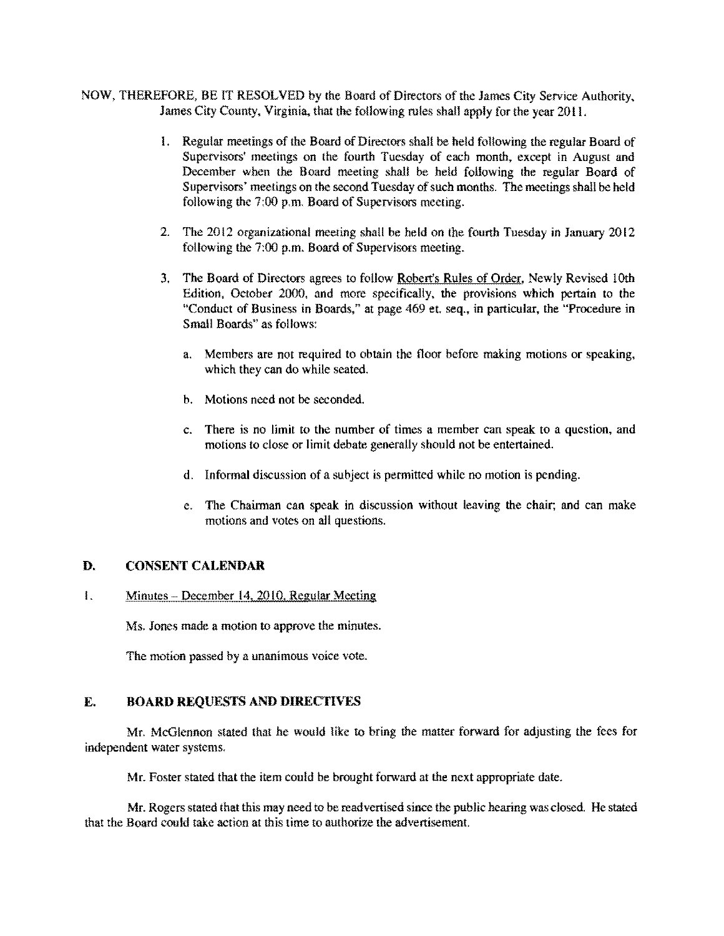- NOW, THEREFORE, BE IT RESOLVED by the Board of Directors of the James City Service Authority, James City County, Virginia, that the following rules shall apply for the year 2011.
	- 1. Regular meetings of the Board of Directors shall be held following the regular Board of Supervisors' meetings on the fourth Tuesday of each month, except in August and December when the Board meeting shall be held following the regular Board of Supervisors' meetings on the second Tuesday of such months. The meetings shall be held following the 7:00 p,m, Board of Supervisors meeting.
	- 2. The 2012 organizational meeting shall be held on the fourth Tuesday in January 2012 following the 7:00 p.m. Board of Supervisors meeting,
	- 3. The Board of Directors agrees to follow Robert's Rules of Order, Newly Revised 10th Edition, October 2000, and more specifically, the provisions which pertain to the "Conduct of Business in Boards," at page 469 et. seq., in particular, the "Procedure in Small Boards" as follows:
		- a. Members are not required to obtain the floor before making motions or speaking, which they can do while seated,
		- b. Motions need not be seconded.
		- c. There is no limit to the number of times a member can speak to a question, and motions to close or limit debate generally should not be entertained,
		- d. Informal discussion of a subject is permitted while no motion is pending.
		- e. The Chairman can speak in discussion without leaving the chair; and can make motions and votes on all questions,

#### **D. CONSENT CALENDAR**

#### $1.$  Minutes – December 14, 2010, Regular Meeting

Ms. Jones made a motion to approve the minutes.

The motion passed by a unanimous voice vote,

#### **E. BOARD REQUESTS AND DIRECTIVES**

Mr. McGlennon stated that he would like to bring the matter forward for adjusting the fees for independent water systems.

Mr. Foster stated that the item could be brought forward at the next appropriate date.

Mr, Rogers stated that this may need to be readvertised since the public hearing was closed. He stated that the Board could take action at this time to authorize the advertisement.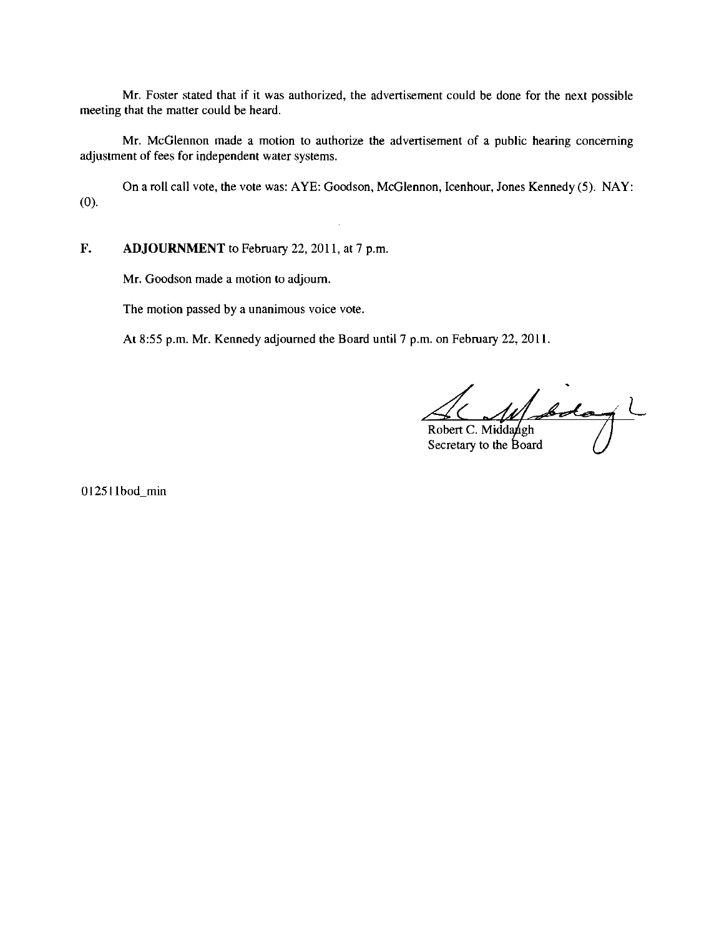Mr. Foster stated that if it was authorized, the advertisement could be done for the next possible meeting that the matter could be heard.

Mr. McGlennon made a motion to authorize the advertisement of a public hearing concerning adjustment of fees for independent water systems.

On a roll call vote, the vote was: AYE: Goodson, McGlennon, Icenhour, Jones Kennedy (5). NAY: (0).

#### F. **ADJOURNMENT** to February 22, 2011, at 7 p.m.

Mr. Goodson made a motion to adjourn.

The motion passed by a unanimous voice vote.

At 8:55 p.m. Mr. Kennedy adjourned the Board until 7 p.m. on February 22, 2011.

W Siday

Robert C. Middangh Secretary to the Board

012511bod\_min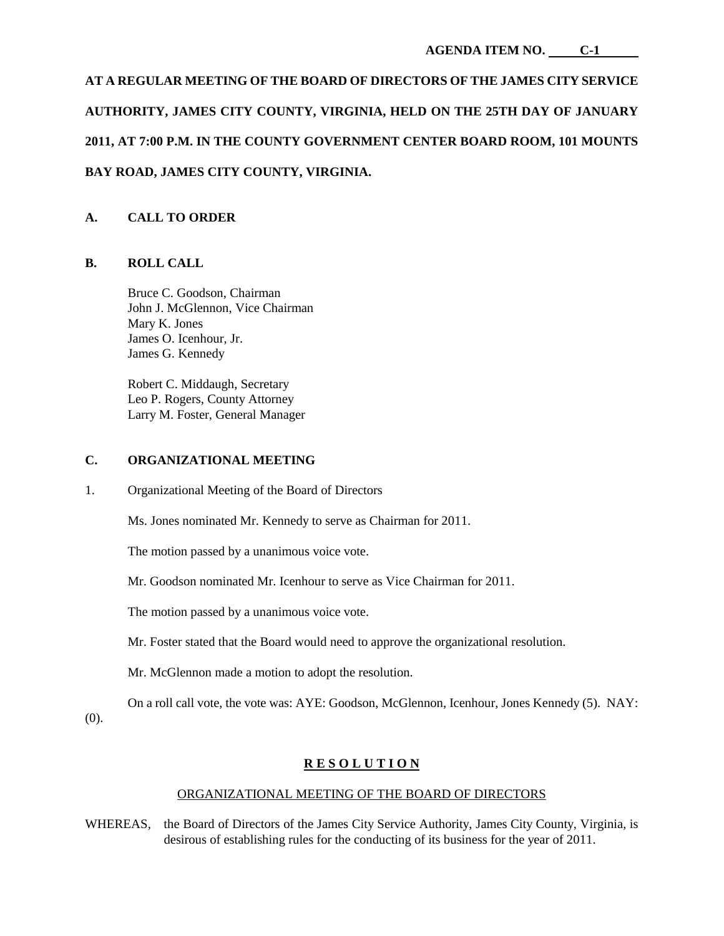# **AT A REGULAR MEETING OF THE BOARD OF DIRECTORS OF THE JAMES CITY SERVICE AUTHORITY, JAMES CITY COUNTY, VIRGINIA, HELD ON THE 25TH DAY OF JANUARY 2011, AT 7:00 P.M. IN THE COUNTY GOVERNMENT CENTER BOARD ROOM, 101 MOUNTS BAY ROAD, JAMES CITY COUNTY, VIRGINIA.**

## **A. CALL TO ORDER**

#### **B. ROLL CALL**

Bruce C. Goodson, Chairman John J. McGlennon, Vice Chairman Mary K. Jones James O. Icenhour, Jr. James G. Kennedy

Robert C. Middaugh, Secretary Leo P. Rogers, County Attorney Larry M. Foster, General Manager

#### **C. ORGANIZATIONAL MEETING**

1. Organizational Meeting of the Board of Directors

Ms. Jones nominated Mr. Kennedy to serve as Chairman for 2011.

The motion passed by a unanimous voice vote.

Mr. Goodson nominated Mr. Icenhour to serve as Vice Chairman for 2011.

The motion passed by a unanimous voice vote.

Mr. Foster stated that the Board would need to approve the organizational resolution.

Mr. McGlennon made a motion to adopt the resolution.

On a roll call vote, the vote was: AYE: Goodson, McGlennon, Icenhour, Jones Kennedy (5). NAY: (0).

## **R E S O L U T I O N**

## ORGANIZATIONAL MEETING OF THE BOARD OF DIRECTORS

WHEREAS, the Board of Directors of the James City Service Authority, James City County, Virginia, is desirous of establishing rules for the conducting of its business for the year of 2011.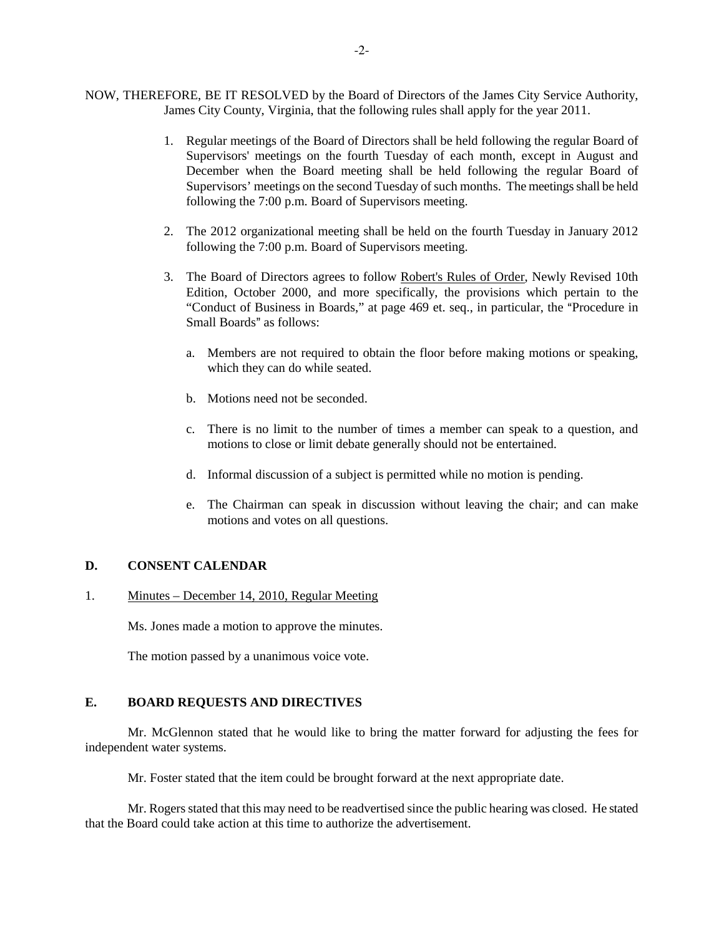- NOW, THEREFORE, BE IT RESOLVED by the Board of Directors of the James City Service Authority, James City County, Virginia, that the following rules shall apply for the year 2011.
	- 1. Regular meetings of the Board of Directors shall be held following the regular Board of Supervisors' meetings on the fourth Tuesday of each month, except in August and December when the Board meeting shall be held following the regular Board of Supervisors' meetings on the second Tuesday of such months. The meetings shall be held following the 7:00 p.m. Board of Supervisors meeting.
	- 2. The 2012 organizational meeting shall be held on the fourth Tuesday in January 2012 following the 7:00 p.m. Board of Supervisors meeting.
	- 3. The Board of Directors agrees to follow Robert's Rules of Order, Newly Revised 10th Edition, October 2000, and more specifically, the provisions which pertain to the "Conduct of Business in Boards," at page 469 et. seq., in particular, the "Procedure in Small Boards" as follows:
		- a. Members are not required to obtain the floor before making motions or speaking, which they can do while seated.
		- b. Motions need not be seconded.
		- c. There is no limit to the number of times a member can speak to a question, and motions to close or limit debate generally should not be entertained.
		- d. Informal discussion of a subject is permitted while no motion is pending.
		- e. The Chairman can speak in discussion without leaving the chair; and can make motions and votes on all questions.

#### **D. CONSENT CALENDAR**

#### 1. Minutes – December 14, 2010, Regular Meeting

Ms. Jones made a motion to approve the minutes.

The motion passed by a unanimous voice vote.

### **E. BOARD REQUESTS AND DIRECTIVES**

Mr. McGlennon stated that he would like to bring the matter forward for adjusting the fees for independent water systems.

Mr. Foster stated that the item could be brought forward at the next appropriate date.

Mr. Rogers stated that this may need to be readvertised since the public hearing was closed. He stated that the Board could take action at this time to authorize the advertisement.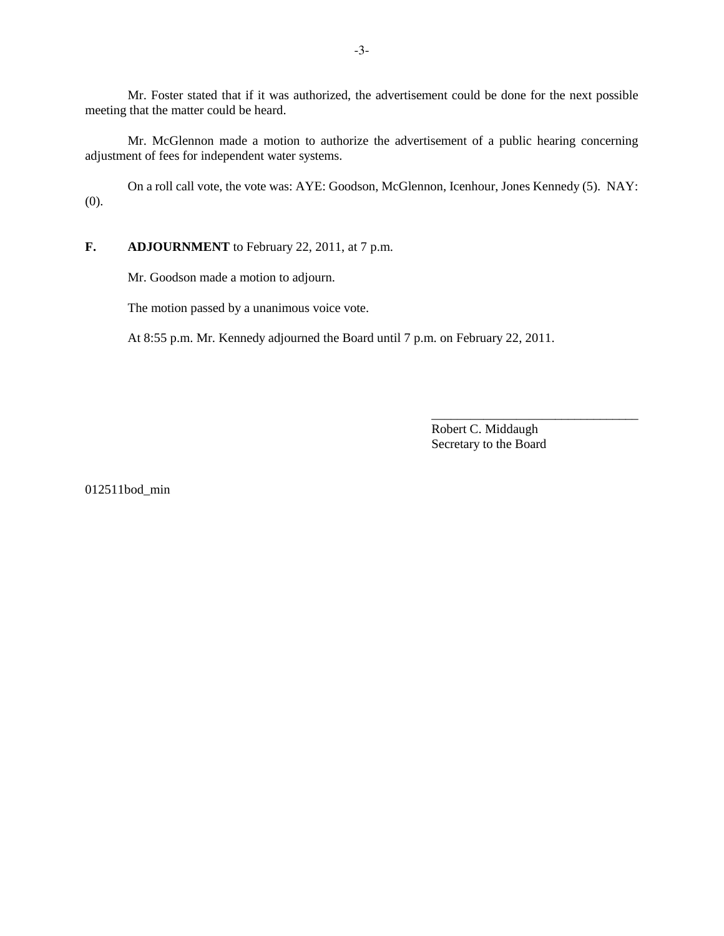Mr. Foster stated that if it was authorized, the advertisement could be done for the next possible meeting that the matter could be heard.

Mr. McGlennon made a motion to authorize the advertisement of a public hearing concerning adjustment of fees for independent water systems.

On a roll call vote, the vote was: AYE: Goodson, McGlennon, Icenhour, Jones Kennedy (5). NAY: (0).

## **F. ADJOURNMENT** to February 22, 2011, at 7 p.m.

Mr. Goodson made a motion to adjourn.

The motion passed by a unanimous voice vote.

At 8:55 p.m. Mr. Kennedy adjourned the Board until 7 p.m. on February 22, 2011.

Robert C. Middaugh Secretary to the Board

\_\_\_\_\_\_\_\_\_\_\_\_\_\_\_\_\_\_\_\_\_\_\_\_\_\_\_\_\_\_\_\_

012511bod\_min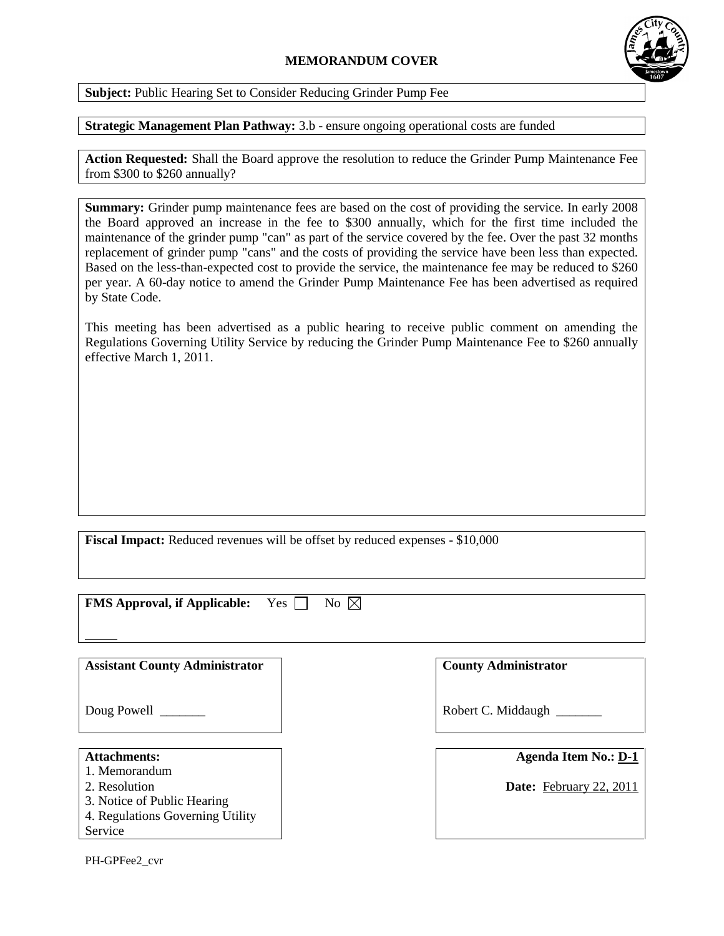## **MEMORANDUM COVER**



**Subject:** Public Hearing Set to Consider Reducing Grinder Pump Fee

**Strategic Management Plan Pathway:** 3.b - ensure ongoing operational costs are funded

**Action Requested:** Shall the Board approve the resolution to reduce the Grinder Pump Maintenance Fee from \$300 to \$260 annually?

**Summary:** Grinder pump maintenance fees are based on the cost of providing the service. In early 2008 the Board approved an increase in the fee to \$300 annually, which for the first time included the maintenance of the grinder pump "can" as part of the service covered by the fee. Over the past 32 months replacement of grinder pump "cans" and the costs of providing the service have been less than expected. Based on the less-than-expected cost to provide the service, the maintenance fee may be reduced to \$260 per year. A 60-day notice to amend the Grinder Pump Maintenance Fee has been advertised as required by State Code.

This meeting has been advertised as a public hearing to receive public comment on amending the Regulations Governing Utility Service by reducing the Grinder Pump Maintenance Fee to \$260 annually effective March 1, 2011.

**Fiscal Impact:** Reduced revenues will be offset by reduced expenses - \$10,000

**FMS Approval, if Applicable:** Yes  $\Box$  No  $\boxtimes$ 

**Assistant County Administrator**

Doug Powell

#### **Attachments:**

- 1. Memorandum
- 2. Resolution
- 3. Notice of Public Hearing
- 4. Regulations Governing Utility
- Service

**County Administrator**

Robert C. Middaugh \_\_\_\_\_\_\_

**Agenda Item No.: D-1**

**Date:** February 22, 2011

PH-GPFee2\_cvr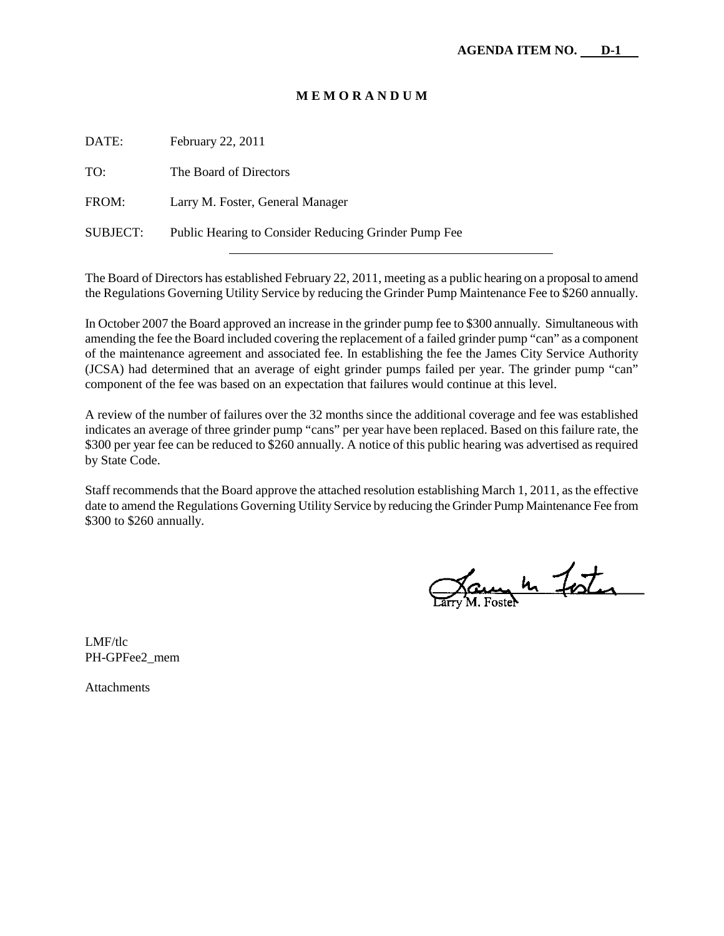#### **M E M O R A N D U M**

| DATE:           | February 22, 2011                                    |
|-----------------|------------------------------------------------------|
| TO:             | The Board of Directors                               |
| FROM:           | Larry M. Foster, General Manager                     |
| <b>SUBJECT:</b> | Public Hearing to Consider Reducing Grinder Pump Fee |
|                 |                                                      |

The Board of Directors has established February 22, 2011, meeting as a public hearing on a proposal to amend the Regulations Governing Utility Service by reducing the Grinder Pump Maintenance Fee to \$260 annually.

In October 2007 the Board approved an increase in the grinder pump fee to \$300 annually. Simultaneous with amending the fee the Board included covering the replacement of a failed grinder pump "can" as a component of the maintenance agreement and associated fee. In establishing the fee the James City Service Authority (JCSA) had determined that an average of eight grinder pumps failed per year. The grinder pump "can" component of the fee was based on an expectation that failures would continue at this level.

A review of the number of failures over the 32 months since the additional coverage and fee was established indicates an average of three grinder pump "cans" per year have been replaced. Based on this failure rate, the \$300 per year fee can be reduced to \$260 annually. A notice of this public hearing was advertised as required by State Code.

Staff recommends that the Board approve the attached resolution establishing March 1, 2011, as the effective date to amend the Regulations Governing Utility Service by reducing the Grinder Pump Maintenance Fee from \$300 to \$260 annually.

James 4 Foster

LMF/tlc PH-GPFee2\_mem

Attachments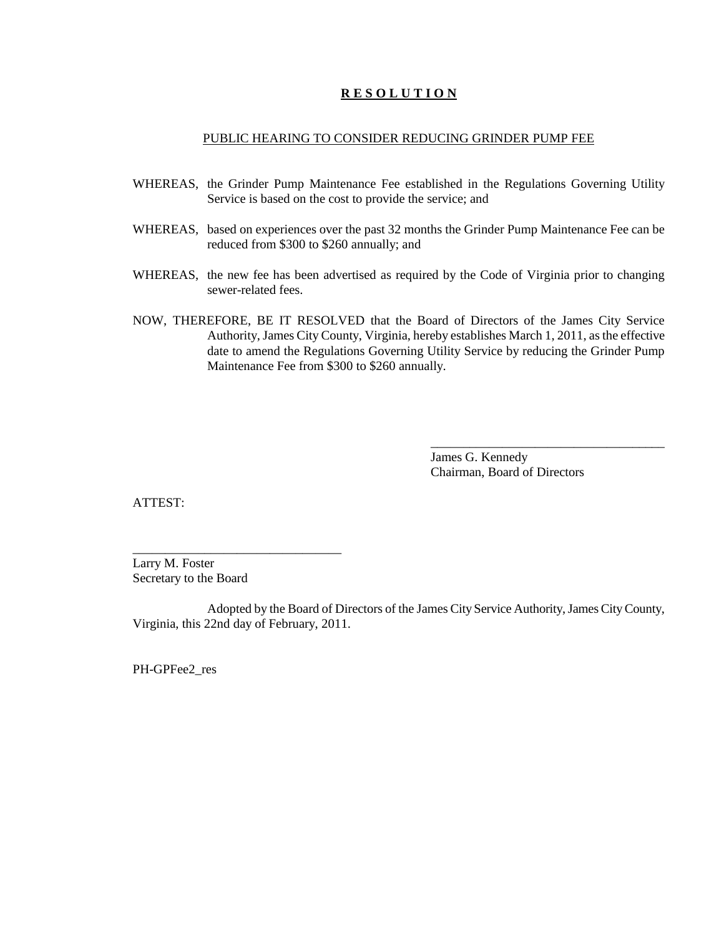#### **R E S O L U T I O N**

#### PUBLIC HEARING TO CONSIDER REDUCING GRINDER PUMP FEE

- WHEREAS, the Grinder Pump Maintenance Fee established in the Regulations Governing Utility Service is based on the cost to provide the service; and
- WHEREAS, based on experiences over the past 32 months the Grinder Pump Maintenance Fee can be reduced from \$300 to \$260 annually; and
- WHEREAS, the new fee has been advertised as required by the Code of Virginia prior to changing sewer-related fees.
- NOW, THEREFORE, BE IT RESOLVED that the Board of Directors of the James City Service Authority, James City County, Virginia, hereby establishes March 1, 2011, as the effective date to amend the Regulations Governing Utility Service by reducing the Grinder Pump Maintenance Fee from \$300 to \$260 annually.

James G. Kennedy Chairman, Board of Directors

\_\_\_\_\_\_\_\_\_\_\_\_\_\_\_\_\_\_\_\_\_\_\_\_\_\_\_\_\_\_\_\_\_\_\_\_

ATTEST:

Larry M. Foster Secretary to the Board

\_\_\_\_\_\_\_\_\_\_\_\_\_\_\_\_\_\_\_\_\_\_\_\_\_\_\_\_\_\_\_\_

Adopted by the Board of Directors of the James City Service Authority, James City County, Virginia, this 22nd day of February, 2011.

PH-GPFee2\_res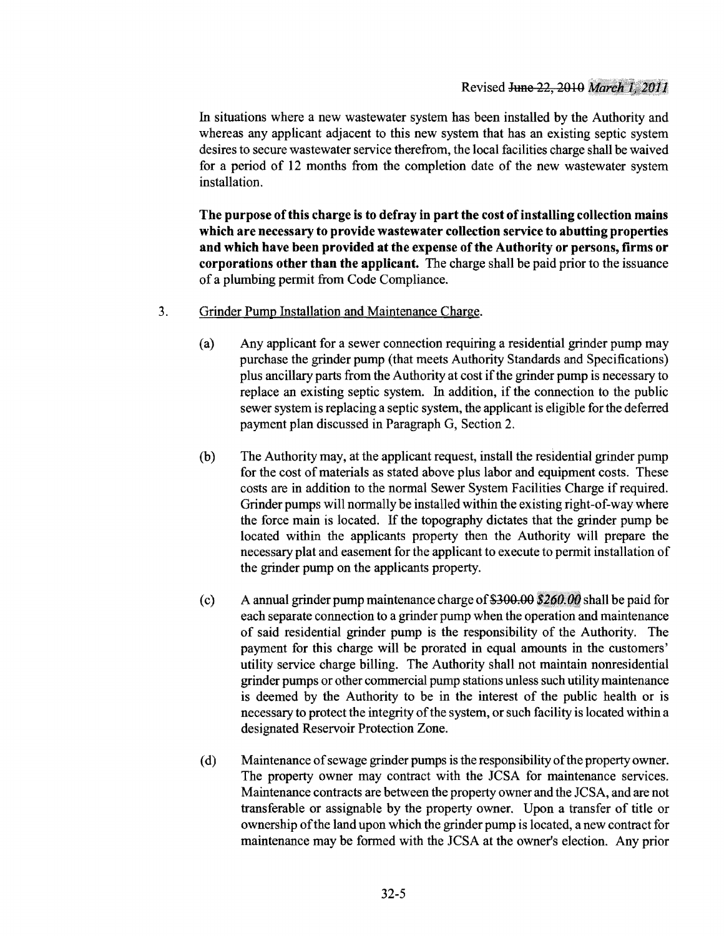In situations where a new wastewater system has been installed by the Authority and whereas any applicant adjacent to this new system that has an existing septic system desires to secure wastewater service therefrom, the local facilities charge shall be waived for a period of 12 months from the completion date of the new wastewater system installation.

The purpose of this charge is to defray in part the cost of installing collection mains which are necessary to provide wastewater collection service to abutting properties and which have been provided at the expense of the Authority or persons, firms or corporations other than the applicant. The charge shall be paid prior to the issuance ofa plumbing permit from Code Compliance.

- 3. Grinder Pump Installation and Maintenance Charge.
	- (a) Any applicant for a sewer connection requiring a residential grinder pump may purchase the grinder pump (that meets Authority Standards and Specifications) plus ancillary parts from the Authority at cost if the grinder pump is necessary to replace an existing septic system. In addition, if the connection to the public sewer system is replacing a septic system, the applicant is eligible for the deferred payment plan discussed in Paragraph G, Section 2.
	- (b) The Authority may, at the applicant request, install the residential grinder pump for the cost of materials as stated above plus labor and equipment costs. These costs are in addition to the normal Sewer System Facilities Charge if required. Grinder pumps will normally be installed within the existing right-of-waywhere the force main is located. If the topography dictates that the grinder pump be located within the applicants property then the Authority will prepare the necessary plat and easement for the applicant to execute to permit installation of the grinder pump on the applicants property.
	- (c) A annual grinder pump maintenance charge of  $$300.00$   $$260.00$  shall be paid for each separate connection to a grinder pump when the operation and maintenance of said residential grinder pump is the responsibility of the Authority. The payment for this charge will be prorated in equal amounts in the customers' utility service charge billing. The Authority shall not maintain nonresidential grinder pumps or other commercial pump stations unless such utility maintenance is deemed by the Authority to be in the interest of the public health or is necessary to protect the integrity of the system, or such facility is located within a designated Reservoir Protection Zone.
	- (d) Maintenance of sewage grinder pumps is the responsibility of the property owner. The property owner may contract with the JCSA for maintenance services. Maintenance contracts are between the property owner and the JCSA, and are not transferable or assignable by the property owner. Upon a transfer of title or ownership ofthe land upon which the grinder pump is located, a new contract for maintenance may be formed with the JCSA at the owner's election. Any prior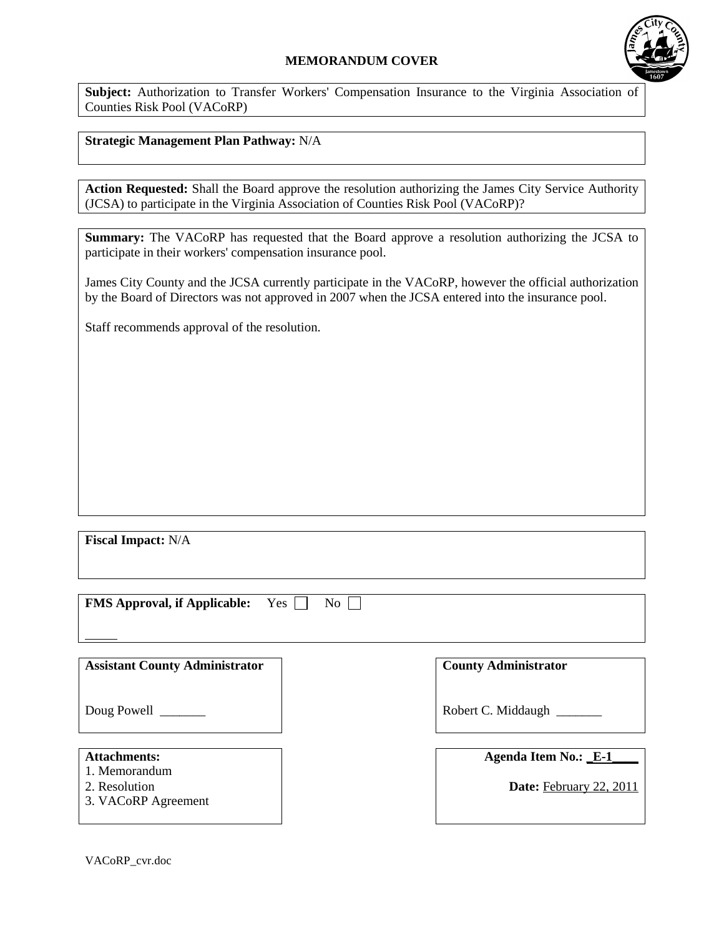## **MEMORANDUM COVER**



**Subject:** Authorization to Transfer Workers' Compensation Insurance to the Virginia Association of Counties Risk Pool (VACoRP)

## **Strategic Management Plan Pathway:** N/A

**Action Requested:** Shall the Board approve the resolution authorizing the James City Service Authority (JCSA) to participate in the Virginia Association of Counties Risk Pool (VACoRP)?

**Summary:** The VACoRP has requested that the Board approve a resolution authorizing the JCSA to participate in their workers' compensation insurance pool.

James City County and the JCSA currently participate in the VACoRP, however the official authorization by the Board of Directors was not approved in 2007 when the JCSA entered into the insurance pool.

Staff recommends approval of the resolution.

**Fiscal Impact:** N/A

| <b>FMS Approval, if Applicable:</b> Yes $\Box$ No $\Box$ |  |  |
|----------------------------------------------------------|--|--|
|----------------------------------------------------------|--|--|

**Assistant County Administrator**

Doug Powell

#### **Attachments:**

- 1. Memorandum
- 2. Resolution
- 3. VACoRP Agreement

**County Administrator**

Robert C. Middaugh \_\_\_\_\_\_\_

| Agenda Item No.: _E-1 |  |
|-----------------------|--|
|-----------------------|--|

**Date:** February 22, 2011

VACoRP\_cvr.doc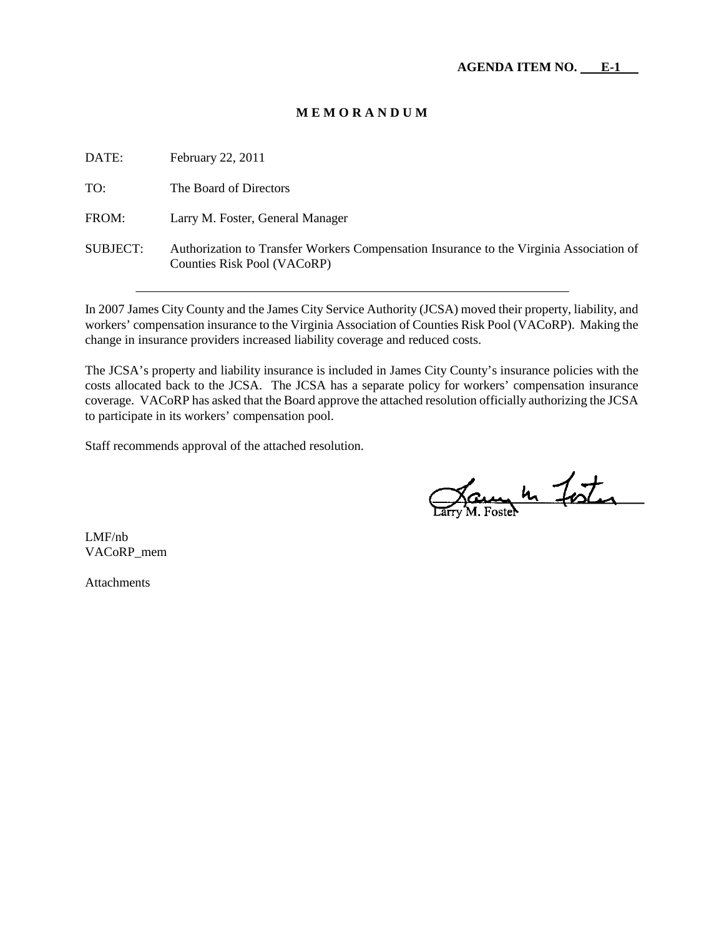#### **M E M O R A N D U M**

| DATE:    | February 22, 2011                                                                                                      |
|----------|------------------------------------------------------------------------------------------------------------------------|
| TO:      | The Board of Directors                                                                                                 |
| FROM:    | Larry M. Foster, General Manager                                                                                       |
| SUBJECT: | Authorization to Transfer Workers Compensation Insurance to the Virginia Association of<br>Counties Risk Pool (VACoRP) |

In 2007 James City County and the James City Service Authority (JCSA) moved their property, liability, and workers' compensation insurance to the Virginia Association of Counties Risk Pool (VACoRP). Making the change in insurance providers increased liability coverage and reduced costs.

The JCSA's property and liability insurance is included in James City County's insurance policies with the costs allocated back to the JCSA. The JCSA has a separate policy for workers' compensation insurance coverage. VACoRP has asked that the Board approve the attached resolution officially authorizing the JCSA to participate in its workers' compensation pool.

Staff recommends approval of the attached resolution.

France 4 Foster

LMF/nb VACoRP\_mem

Attachments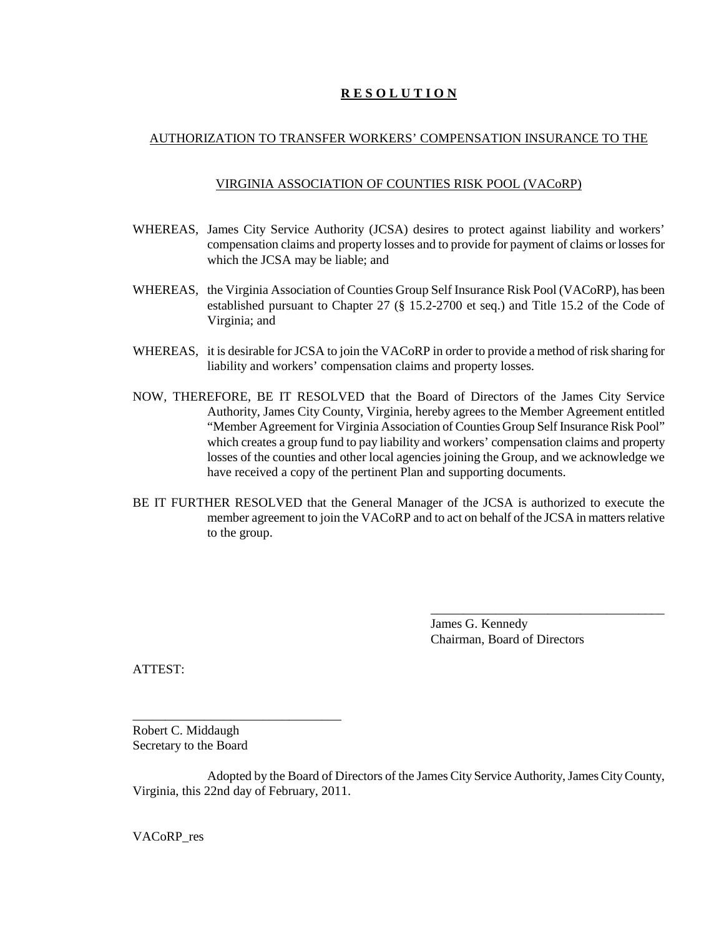## **R E S O L U T I O N**

#### AUTHORIZATION TO TRANSFER WORKERS' COMPENSATION INSURANCE TO THE

#### VIRGINIA ASSOCIATION OF COUNTIES RISK POOL (VACoRP)

- WHEREAS, James City Service Authority (JCSA) desires to protect against liability and workers' compensation claims and property losses and to provide for payment of claims or losses for which the JCSA may be liable; and
- WHEREAS, the Virginia Association of Counties Group Self Insurance Risk Pool (VACoRP), has been established pursuant to Chapter 27 (§ 15.2-2700 et seq.) and Title 15.2 of the Code of Virginia; and
- WHEREAS, it is desirable for JCSA to join the VACoRP in order to provide a method of risk sharing for liability and workers' compensation claims and property losses.
- NOW, THEREFORE, BE IT RESOLVED that the Board of Directors of the James City Service Authority, James City County, Virginia, hereby agrees to the Member Agreement entitled "Member Agreement for Virginia Association of Counties Group Self Insurance Risk Pool" which creates a group fund to pay liability and workers' compensation claims and property losses of the counties and other local agencies joining the Group, and we acknowledge we have received a copy of the pertinent Plan and supporting documents.
- BE IT FURTHER RESOLVED that the General Manager of the JCSA is authorized to execute the member agreement to join the VACoRP and to act on behalf of the JCSA in matters relative to the group.

James G. Kennedy Chairman, Board of Directors

\_\_\_\_\_\_\_\_\_\_\_\_\_\_\_\_\_\_\_\_\_\_\_\_\_\_\_\_\_\_\_\_\_\_\_\_

ATTEST:

Robert C. Middaugh Secretary to the Board

\_\_\_\_\_\_\_\_\_\_\_\_\_\_\_\_\_\_\_\_\_\_\_\_\_\_\_\_\_\_\_\_

Adopted by the Board of Directors of the James City Service Authority, James City County, Virginia, this 22nd day of February, 2011.

VACoRP\_res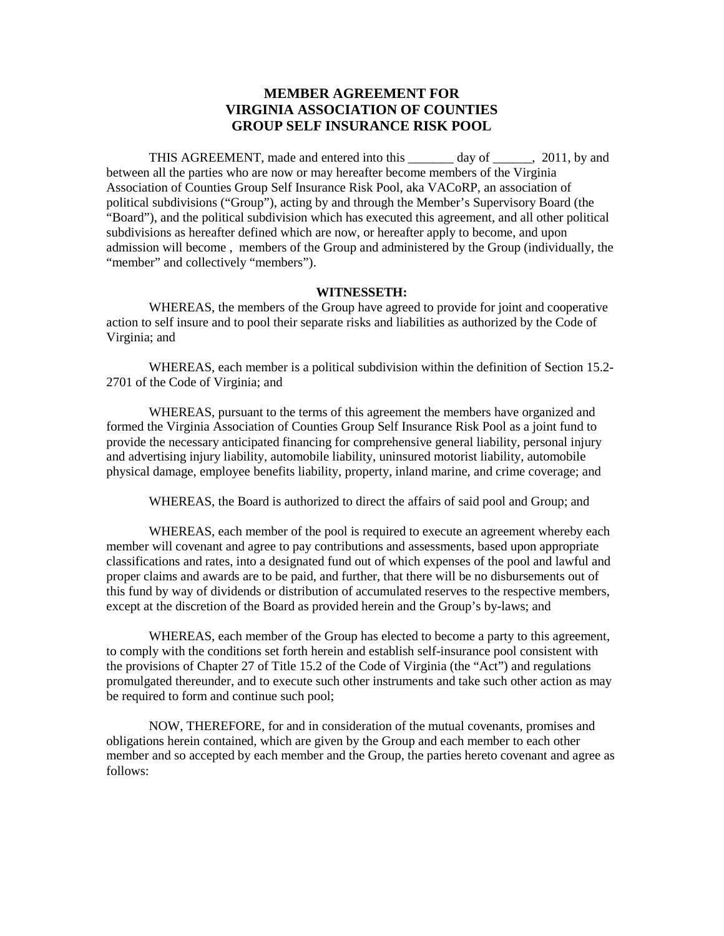## **MEMBER AGREEMENT FOR VIRGINIA ASSOCIATION OF COUNTIES GROUP SELF INSURANCE RISK POOL**

THIS AGREEMENT, made and entered into this day of capacity and  $\frac{1}{2011}$ , by and between all the parties who are now or may hereafter become members of the Virginia Association of Counties Group Self Insurance Risk Pool, aka VACoRP, an association of political subdivisions ("Group"), acting by and through the Member's Supervisory Board (the "Board"), and the political subdivision which has executed this agreement, and all other political subdivisions as hereafter defined which are now, or hereafter apply to become, and upon admission will become , members of the Group and administered by the Group (individually, the "member" and collectively "members").

#### **WITNESSETH:**

WHEREAS, the members of the Group have agreed to provide for joint and cooperative action to self insure and to pool their separate risks and liabilities as authorized by the Code of Virginia; and

WHEREAS, each member is a political subdivision within the definition of Section 15.2- 2701 of the Code of Virginia; and

WHEREAS, pursuant to the terms of this agreement the members have organized and formed the Virginia Association of Counties Group Self Insurance Risk Pool as a joint fund to provide the necessary anticipated financing for comprehensive general liability, personal injury and advertising injury liability, automobile liability, uninsured motorist liability, automobile physical damage, employee benefits liability, property, inland marine, and crime coverage; and

WHEREAS, the Board is authorized to direct the affairs of said pool and Group; and

WHEREAS, each member of the pool is required to execute an agreement whereby each member will covenant and agree to pay contributions and assessments, based upon appropriate classifications and rates, into a designated fund out of which expenses of the pool and lawful and proper claims and awards are to be paid, and further, that there will be no disbursements out of this fund by way of dividends or distribution of accumulated reserves to the respective members, except at the discretion of the Board as provided herein and the Group's by-laws; and

WHEREAS, each member of the Group has elected to become a party to this agreement, to comply with the conditions set forth herein and establish self-insurance pool consistent with the provisions of Chapter 27 of Title 15.2 of the Code of Virginia (the "Act") and regulations promulgated thereunder, and to execute such other instruments and take such other action as may be required to form and continue such pool;

NOW, THEREFORE, for and in consideration of the mutual covenants, promises and obligations herein contained, which are given by the Group and each member to each other member and so accepted by each member and the Group, the parties hereto covenant and agree as follows: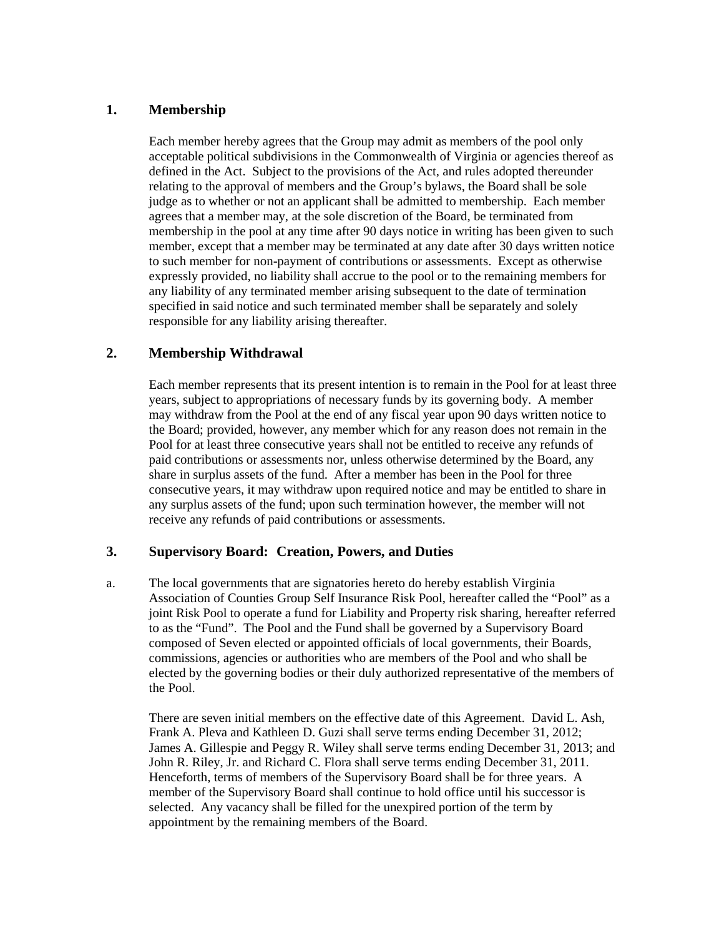## **1. Membership**

Each member hereby agrees that the Group may admit as members of the pool only acceptable political subdivisions in the Commonwealth of Virginia or agencies thereof as defined in the Act. Subject to the provisions of the Act, and rules adopted thereunder relating to the approval of members and the Group's bylaws, the Board shall be sole judge as to whether or not an applicant shall be admitted to membership. Each member agrees that a member may, at the sole discretion of the Board, be terminated from membership in the pool at any time after 90 days notice in writing has been given to such member, except that a member may be terminated at any date after 30 days written notice to such member for non-payment of contributions or assessments. Except as otherwise expressly provided, no liability shall accrue to the pool or to the remaining members for any liability of any terminated member arising subsequent to the date of termination specified in said notice and such terminated member shall be separately and solely responsible for any liability arising thereafter.

## **2. Membership Withdrawal**

Each member represents that its present intention is to remain in the Pool for at least three years, subject to appropriations of necessary funds by its governing body. A member may withdraw from the Pool at the end of any fiscal year upon 90 days written notice to the Board; provided, however, any member which for any reason does not remain in the Pool for at least three consecutive years shall not be entitled to receive any refunds of paid contributions or assessments nor, unless otherwise determined by the Board, any share in surplus assets of the fund. After a member has been in the Pool for three consecutive years, it may withdraw upon required notice and may be entitled to share in any surplus assets of the fund; upon such termination however, the member will not receive any refunds of paid contributions or assessments.

## **3. Supervisory Board: Creation, Powers, and Duties**

a. The local governments that are signatories hereto do hereby establish Virginia Association of Counties Group Self Insurance Risk Pool, hereafter called the "Pool" as a joint Risk Pool to operate a fund for Liability and Property risk sharing, hereafter referred to as the "Fund". The Pool and the Fund shall be governed by a Supervisory Board composed of Seven elected or appointed officials of local governments, their Boards, commissions, agencies or authorities who are members of the Pool and who shall be elected by the governing bodies or their duly authorized representative of the members of the Pool.

There are seven initial members on the effective date of this Agreement. David L. Ash, Frank A. Pleva and Kathleen D. Guzi shall serve terms ending December 31, 2012; James A. Gillespie and Peggy R. Wiley shall serve terms ending December 31, 2013; and John R. Riley, Jr. and Richard C. Flora shall serve terms ending December 31, 2011. Henceforth, terms of members of the Supervisory Board shall be for three years. A member of the Supervisory Board shall continue to hold office until his successor is selected. Any vacancy shall be filled for the unexpired portion of the term by appointment by the remaining members of the Board.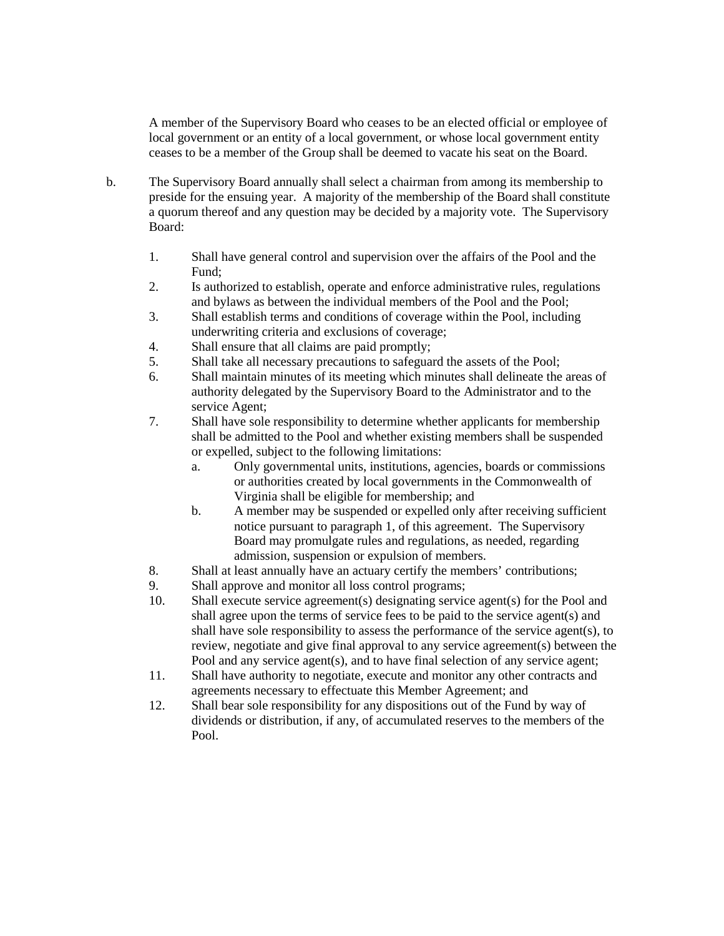A member of the Supervisory Board who ceases to be an elected official or employee of local government or an entity of a local government, or whose local government entity ceases to be a member of the Group shall be deemed to vacate his seat on the Board.

- b. The Supervisory Board annually shall select a chairman from among its membership to preside for the ensuing year. A majority of the membership of the Board shall constitute a quorum thereof and any question may be decided by a majority vote. The Supervisory Board:
	- 1. Shall have general control and supervision over the affairs of the Pool and the Fund;
	- 2. Is authorized to establish, operate and enforce administrative rules, regulations and bylaws as between the individual members of the Pool and the Pool;
	- 3. Shall establish terms and conditions of coverage within the Pool, including underwriting criteria and exclusions of coverage;
	- 4. Shall ensure that all claims are paid promptly;
	- 5. Shall take all necessary precautions to safeguard the assets of the Pool;
	- 6. Shall maintain minutes of its meeting which minutes shall delineate the areas of authority delegated by the Supervisory Board to the Administrator and to the service Agent;
	- 7. Shall have sole responsibility to determine whether applicants for membership shall be admitted to the Pool and whether existing members shall be suspended or expelled, subject to the following limitations:
		- a. Only governmental units, institutions, agencies, boards or commissions or authorities created by local governments in the Commonwealth of Virginia shall be eligible for membership; and
		- b. A member may be suspended or expelled only after receiving sufficient notice pursuant to paragraph 1, of this agreement. The Supervisory Board may promulgate rules and regulations, as needed, regarding admission, suspension or expulsion of members.
	- 8. Shall at least annually have an actuary certify the members' contributions;
	- 9. Shall approve and monitor all loss control programs;
	- 10. Shall execute service agreement(s) designating service agent(s) for the Pool and shall agree upon the terms of service fees to be paid to the service agent(s) and shall have sole responsibility to assess the performance of the service agent(s), to review, negotiate and give final approval to any service agreement(s) between the Pool and any service agent(s), and to have final selection of any service agent;
	- 11. Shall have authority to negotiate, execute and monitor any other contracts and agreements necessary to effectuate this Member Agreement; and
	- 12. Shall bear sole responsibility for any dispositions out of the Fund by way of dividends or distribution, if any, of accumulated reserves to the members of the Pool.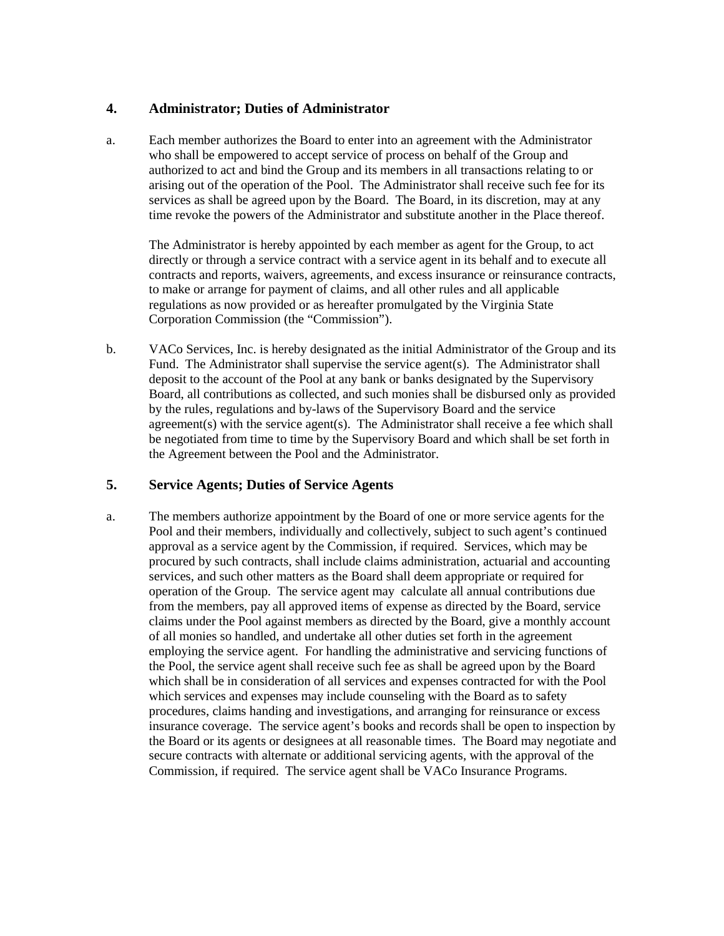## **4. Administrator; Duties of Administrator**

a. Each member authorizes the Board to enter into an agreement with the Administrator who shall be empowered to accept service of process on behalf of the Group and authorized to act and bind the Group and its members in all transactions relating to or arising out of the operation of the Pool. The Administrator shall receive such fee for its services as shall be agreed upon by the Board. The Board, in its discretion, may at any time revoke the powers of the Administrator and substitute another in the Place thereof.

The Administrator is hereby appointed by each member as agent for the Group, to act directly or through a service contract with a service agent in its behalf and to execute all contracts and reports, waivers, agreements, and excess insurance or reinsurance contracts, to make or arrange for payment of claims, and all other rules and all applicable regulations as now provided or as hereafter promulgated by the Virginia State Corporation Commission (the "Commission").

b. VACo Services, Inc. is hereby designated as the initial Administrator of the Group and its Fund. The Administrator shall supervise the service agent(s). The Administrator shall deposit to the account of the Pool at any bank or banks designated by the Supervisory Board, all contributions as collected, and such monies shall be disbursed only as provided by the rules, regulations and by-laws of the Supervisory Board and the service agreement(s) with the service agent(s). The Administrator shall receive a fee which shall be negotiated from time to time by the Supervisory Board and which shall be set forth in the Agreement between the Pool and the Administrator.

## **5. Service Agents; Duties of Service Agents**

a. The members authorize appointment by the Board of one or more service agents for the Pool and their members, individually and collectively, subject to such agent's continued approval as a service agent by the Commission, if required. Services, which may be procured by such contracts, shall include claims administration, actuarial and accounting services, and such other matters as the Board shall deem appropriate or required for operation of the Group. The service agent may calculate all annual contributions due from the members, pay all approved items of expense as directed by the Board, service claims under the Pool against members as directed by the Board, give a monthly account of all monies so handled, and undertake all other duties set forth in the agreement employing the service agent. For handling the administrative and servicing functions of the Pool, the service agent shall receive such fee as shall be agreed upon by the Board which shall be in consideration of all services and expenses contracted for with the Pool which services and expenses may include counseling with the Board as to safety procedures, claims handing and investigations, and arranging for reinsurance or excess insurance coverage. The service agent's books and records shall be open to inspection by the Board or its agents or designees at all reasonable times. The Board may negotiate and secure contracts with alternate or additional servicing agents, with the approval of the Commission, if required. The service agent shall be VACo Insurance Programs.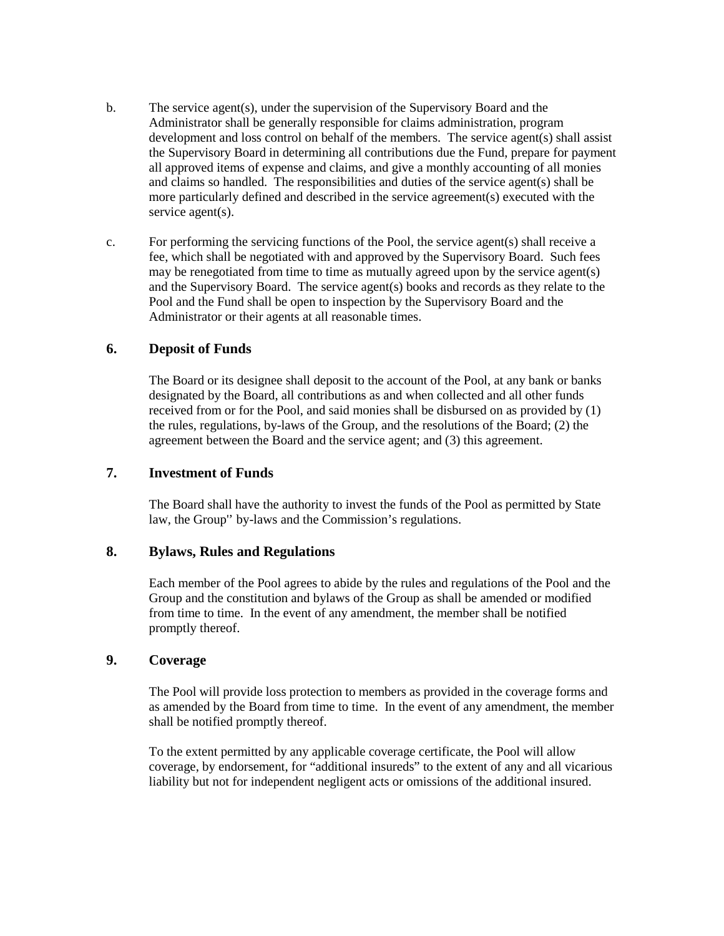- b. The service agent(s), under the supervision of the Supervisory Board and the Administrator shall be generally responsible for claims administration, program development and loss control on behalf of the members. The service agent(s) shall assist the Supervisory Board in determining all contributions due the Fund, prepare for payment all approved items of expense and claims, and give a monthly accounting of all monies and claims so handled. The responsibilities and duties of the service agent(s) shall be more particularly defined and described in the service agreement(s) executed with the service agent(s).
- c. For performing the servicing functions of the Pool, the service agent(s) shall receive a fee, which shall be negotiated with and approved by the Supervisory Board. Such fees may be renegotiated from time to time as mutually agreed upon by the service agent(s) and the Supervisory Board. The service agent(s) books and records as they relate to the Pool and the Fund shall be open to inspection by the Supervisory Board and the Administrator or their agents at all reasonable times.

## **6. Deposit of Funds**

The Board or its designee shall deposit to the account of the Pool, at any bank or banks designated by the Board, all contributions as and when collected and all other funds received from or for the Pool, and said monies shall be disbursed on as provided by (1) the rules, regulations, by-laws of the Group, and the resolutions of the Board; (2) the agreement between the Board and the service agent; and (3) this agreement.

## **7. Investment of Funds**

The Board shall have the authority to invest the funds of the Pool as permitted by State law, the Group'' by-laws and the Commission's regulations.

#### **8. Bylaws, Rules and Regulations**

Each member of the Pool agrees to abide by the rules and regulations of the Pool and the Group and the constitution and bylaws of the Group as shall be amended or modified from time to time. In the event of any amendment, the member shall be notified promptly thereof.

## **9. Coverage**

The Pool will provide loss protection to members as provided in the coverage forms and as amended by the Board from time to time. In the event of any amendment, the member shall be notified promptly thereof.

To the extent permitted by any applicable coverage certificate, the Pool will allow coverage, by endorsement, for "additional insureds" to the extent of any and all vicarious liability but not for independent negligent acts or omissions of the additional insured.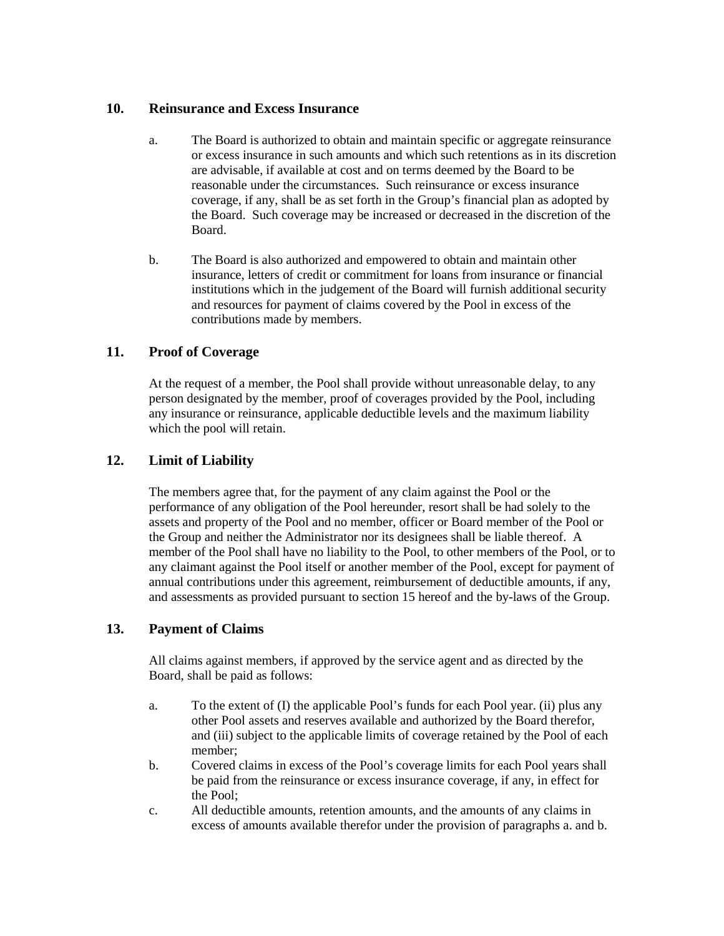## **10. Reinsurance and Excess Insurance**

- a. The Board is authorized to obtain and maintain specific or aggregate reinsurance or excess insurance in such amounts and which such retentions as in its discretion are advisable, if available at cost and on terms deemed by the Board to be reasonable under the circumstances. Such reinsurance or excess insurance coverage, if any, shall be as set forth in the Group's financial plan as adopted by the Board. Such coverage may be increased or decreased in the discretion of the Board.
- b. The Board is also authorized and empowered to obtain and maintain other insurance, letters of credit or commitment for loans from insurance or financial institutions which in the judgement of the Board will furnish additional security and resources for payment of claims covered by the Pool in excess of the contributions made by members.

## **11. Proof of Coverage**

At the request of a member, the Pool shall provide without unreasonable delay, to any person designated by the member, proof of coverages provided by the Pool, including any insurance or reinsurance, applicable deductible levels and the maximum liability which the pool will retain.

## **12. Limit of Liability**

The members agree that, for the payment of any claim against the Pool or the performance of any obligation of the Pool hereunder, resort shall be had solely to the assets and property of the Pool and no member, officer or Board member of the Pool or the Group and neither the Administrator nor its designees shall be liable thereof. A member of the Pool shall have no liability to the Pool, to other members of the Pool, or to any claimant against the Pool itself or another member of the Pool, except for payment of annual contributions under this agreement, reimbursement of deductible amounts, if any, and assessments as provided pursuant to section 15 hereof and the by-laws of the Group.

## **13. Payment of Claims**

All claims against members, if approved by the service agent and as directed by the Board, shall be paid as follows:

- a. To the extent of (I) the applicable Pool's funds for each Pool year. (ii) plus any other Pool assets and reserves available and authorized by the Board therefor, and (iii) subject to the applicable limits of coverage retained by the Pool of each member;
- b. Covered claims in excess of the Pool's coverage limits for each Pool years shall be paid from the reinsurance or excess insurance coverage, if any, in effect for the Pool;
- c. All deductible amounts, retention amounts, and the amounts of any claims in excess of amounts available therefor under the provision of paragraphs a. and b.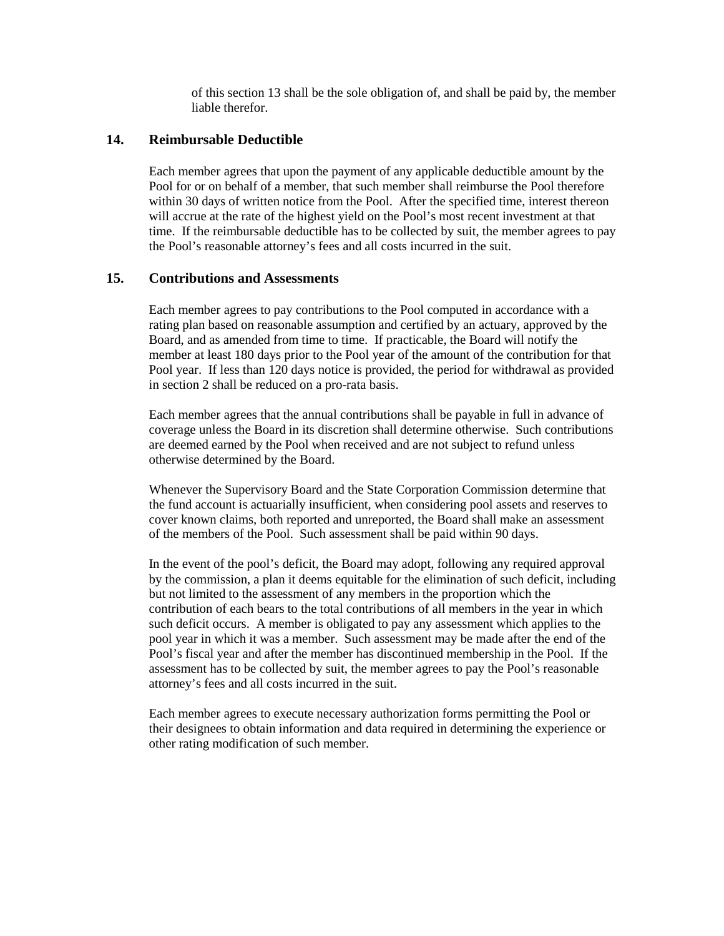of this section 13 shall be the sole obligation of, and shall be paid by, the member liable therefor.

## **14. Reimbursable Deductible**

Each member agrees that upon the payment of any applicable deductible amount by the Pool for or on behalf of a member, that such member shall reimburse the Pool therefore within 30 days of written notice from the Pool. After the specified time, interest thereon will accrue at the rate of the highest yield on the Pool's most recent investment at that time. If the reimbursable deductible has to be collected by suit, the member agrees to pay the Pool's reasonable attorney's fees and all costs incurred in the suit.

#### **15. Contributions and Assessments**

Each member agrees to pay contributions to the Pool computed in accordance with a rating plan based on reasonable assumption and certified by an actuary, approved by the Board, and as amended from time to time. If practicable, the Board will notify the member at least 180 days prior to the Pool year of the amount of the contribution for that Pool year. If less than 120 days notice is provided, the period for withdrawal as provided in section 2 shall be reduced on a pro-rata basis.

Each member agrees that the annual contributions shall be payable in full in advance of coverage unless the Board in its discretion shall determine otherwise. Such contributions are deemed earned by the Pool when received and are not subject to refund unless otherwise determined by the Board.

Whenever the Supervisory Board and the State Corporation Commission determine that the fund account is actuarially insufficient, when considering pool assets and reserves to cover known claims, both reported and unreported, the Board shall make an assessment of the members of the Pool. Such assessment shall be paid within 90 days.

In the event of the pool's deficit, the Board may adopt, following any required approval by the commission, a plan it deems equitable for the elimination of such deficit, including but not limited to the assessment of any members in the proportion which the contribution of each bears to the total contributions of all members in the year in which such deficit occurs. A member is obligated to pay any assessment which applies to the pool year in which it was a member. Such assessment may be made after the end of the Pool's fiscal year and after the member has discontinued membership in the Pool. If the assessment has to be collected by suit, the member agrees to pay the Pool's reasonable attorney's fees and all costs incurred in the suit.

Each member agrees to execute necessary authorization forms permitting the Pool or their designees to obtain information and data required in determining the experience or other rating modification of such member.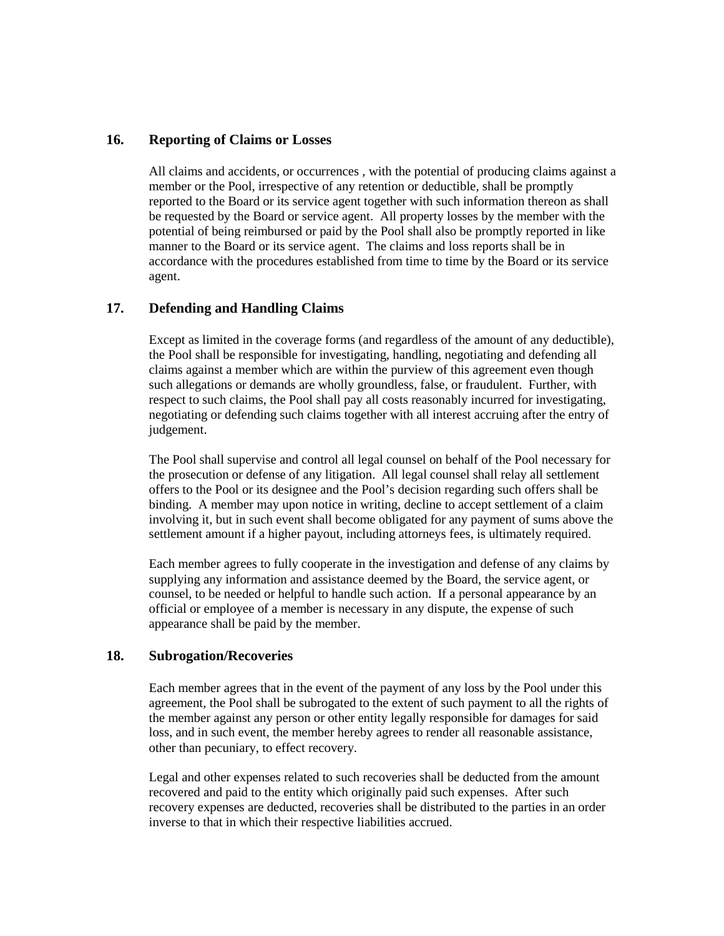### **16. Reporting of Claims or Losses**

All claims and accidents, or occurrences , with the potential of producing claims against a member or the Pool, irrespective of any retention or deductible, shall be promptly reported to the Board or its service agent together with such information thereon as shall be requested by the Board or service agent. All property losses by the member with the potential of being reimbursed or paid by the Pool shall also be promptly reported in like manner to the Board or its service agent. The claims and loss reports shall be in accordance with the procedures established from time to time by the Board or its service agent.

## **17. Defending and Handling Claims**

Except as limited in the coverage forms (and regardless of the amount of any deductible), the Pool shall be responsible for investigating, handling, negotiating and defending all claims against a member which are within the purview of this agreement even though such allegations or demands are wholly groundless, false, or fraudulent. Further, with respect to such claims, the Pool shall pay all costs reasonably incurred for investigating, negotiating or defending such claims together with all interest accruing after the entry of judgement.

The Pool shall supervise and control all legal counsel on behalf of the Pool necessary for the prosecution or defense of any litigation. All legal counsel shall relay all settlement offers to the Pool or its designee and the Pool's decision regarding such offers shall be binding. A member may upon notice in writing, decline to accept settlement of a claim involving it, but in such event shall become obligated for any payment of sums above the settlement amount if a higher payout, including attorneys fees, is ultimately required.

Each member agrees to fully cooperate in the investigation and defense of any claims by supplying any information and assistance deemed by the Board, the service agent, or counsel, to be needed or helpful to handle such action. If a personal appearance by an official or employee of a member is necessary in any dispute, the expense of such appearance shall be paid by the member.

#### **18. Subrogation/Recoveries**

Each member agrees that in the event of the payment of any loss by the Pool under this agreement, the Pool shall be subrogated to the extent of such payment to all the rights of the member against any person or other entity legally responsible for damages for said loss, and in such event, the member hereby agrees to render all reasonable assistance, other than pecuniary, to effect recovery.

Legal and other expenses related to such recoveries shall be deducted from the amount recovered and paid to the entity which originally paid such expenses. After such recovery expenses are deducted, recoveries shall be distributed to the parties in an order inverse to that in which their respective liabilities accrued.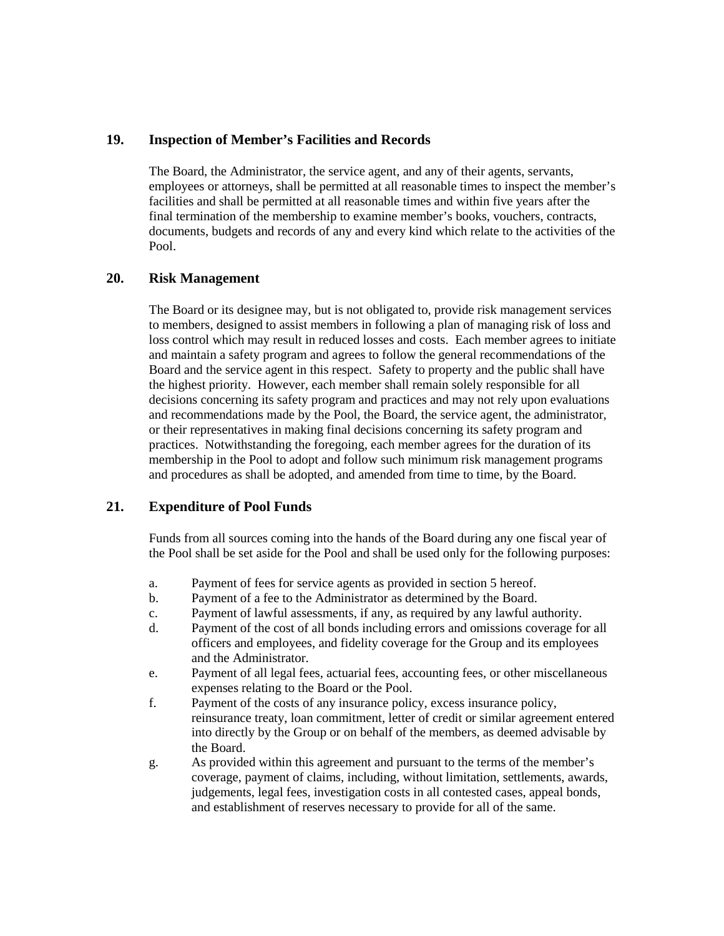## **19. Inspection of Member's Facilities and Records**

The Board, the Administrator, the service agent, and any of their agents, servants, employees or attorneys, shall be permitted at all reasonable times to inspect the member's facilities and shall be permitted at all reasonable times and within five years after the final termination of the membership to examine member's books, vouchers, contracts, documents, budgets and records of any and every kind which relate to the activities of the Pool.

## **20. Risk Management**

The Board or its designee may, but is not obligated to, provide risk management services to members, designed to assist members in following a plan of managing risk of loss and loss control which may result in reduced losses and costs. Each member agrees to initiate and maintain a safety program and agrees to follow the general recommendations of the Board and the service agent in this respect. Safety to property and the public shall have the highest priority. However, each member shall remain solely responsible for all decisions concerning its safety program and practices and may not rely upon evaluations and recommendations made by the Pool, the Board, the service agent, the administrator, or their representatives in making final decisions concerning its safety program and practices. Notwithstanding the foregoing, each member agrees for the duration of its membership in the Pool to adopt and follow such minimum risk management programs and procedures as shall be adopted, and amended from time to time, by the Board.

# **21. Expenditure of Pool Funds**

Funds from all sources coming into the hands of the Board during any one fiscal year of the Pool shall be set aside for the Pool and shall be used only for the following purposes:

- a. Payment of fees for service agents as provided in section 5 hereof.
- b. Payment of a fee to the Administrator as determined by the Board.
- c. Payment of lawful assessments, if any, as required by any lawful authority.
- d. Payment of the cost of all bonds including errors and omissions coverage for all officers and employees, and fidelity coverage for the Group and its employees and the Administrator.
- e. Payment of all legal fees, actuarial fees, accounting fees, or other miscellaneous expenses relating to the Board or the Pool.
- f. Payment of the costs of any insurance policy, excess insurance policy, reinsurance treaty, loan commitment, letter of credit or similar agreement entered into directly by the Group or on behalf of the members, as deemed advisable by the Board.
- g. As provided within this agreement and pursuant to the terms of the member's coverage, payment of claims, including, without limitation, settlements, awards, judgements, legal fees, investigation costs in all contested cases, appeal bonds, and establishment of reserves necessary to provide for all of the same.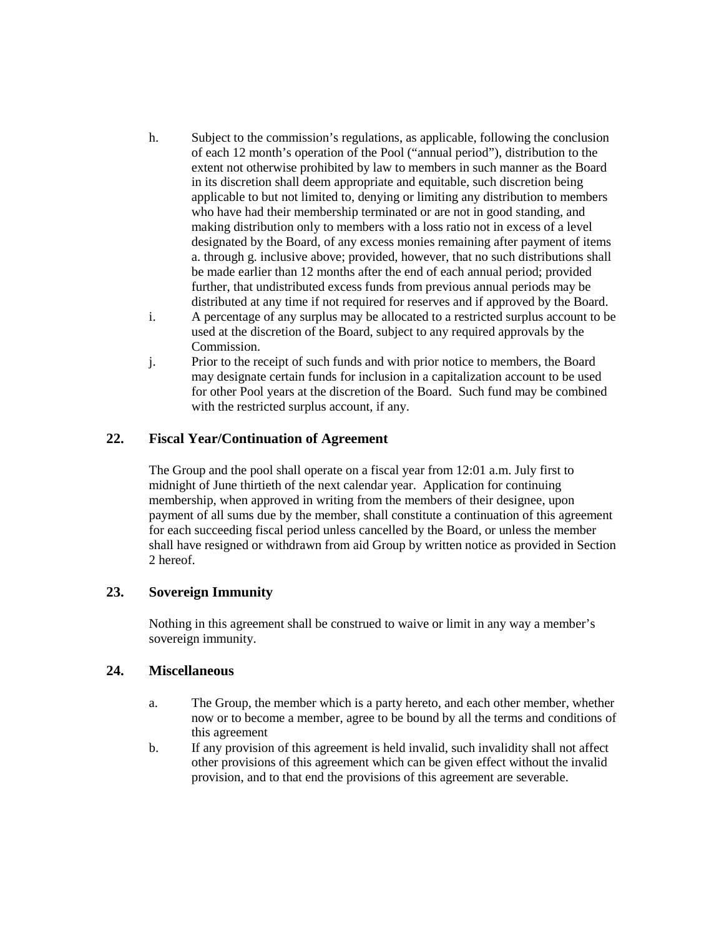- h. Subject to the commission's regulations, as applicable, following the conclusion of each 12 month's operation of the Pool ("annual period"), distribution to the extent not otherwise prohibited by law to members in such manner as the Board in its discretion shall deem appropriate and equitable, such discretion being applicable to but not limited to, denying or limiting any distribution to members who have had their membership terminated or are not in good standing, and making distribution only to members with a loss ratio not in excess of a level designated by the Board, of any excess monies remaining after payment of items a. through g. inclusive above; provided, however, that no such distributions shall be made earlier than 12 months after the end of each annual period; provided further, that undistributed excess funds from previous annual periods may be distributed at any time if not required for reserves and if approved by the Board.
- i. A percentage of any surplus may be allocated to a restricted surplus account to be used at the discretion of the Board, subject to any required approvals by the Commission.
- j. Prior to the receipt of such funds and with prior notice to members, the Board may designate certain funds for inclusion in a capitalization account to be used for other Pool years at the discretion of the Board. Such fund may be combined with the restricted surplus account, if any.

## **22. Fiscal Year/Continuation of Agreement**

The Group and the pool shall operate on a fiscal year from 12:01 a.m. July first to midnight of June thirtieth of the next calendar year. Application for continuing membership, when approved in writing from the members of their designee, upon payment of all sums due by the member, shall constitute a continuation of this agreement for each succeeding fiscal period unless cancelled by the Board, or unless the member shall have resigned or withdrawn from aid Group by written notice as provided in Section 2 hereof.

## **23. Sovereign Immunity**

Nothing in this agreement shall be construed to waive or limit in any way a member's sovereign immunity.

#### **24. Miscellaneous**

- a. The Group, the member which is a party hereto, and each other member, whether now or to become a member, agree to be bound by all the terms and conditions of this agreement
- b. If any provision of this agreement is held invalid, such invalidity shall not affect other provisions of this agreement which can be given effect without the invalid provision, and to that end the provisions of this agreement are severable.